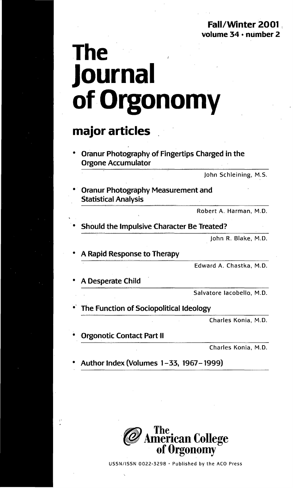# **The Journal ofOrgonomy**

### **major articles .**

Oranur Photography of Fingertips Charged in the Orgone Accumulator

John Schleining, M.S.

**Oranur Photography Measurement and** Statistical Analysis

Robert A. Harman, M.D.

Should the Impulsive Character Be Treated?

John R. Blake, M.D.

• A Rapid Response to Therapy

Edward A. Chastka, M.D.

A Desperate Child

Salvatore lacobello, M.D.

The Function of Sociopolitical Ideology

Charles Konia, M.D.

**Orgonotic Contact Part II** 

Charles Konia, M.D.

Author Index (Volumes 1-33, 1967-1999)



USSN/ISSN 0022-3298 • Published by the ACO Press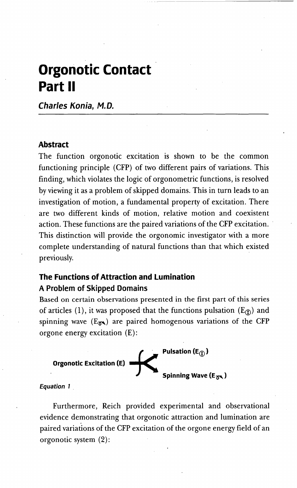## **Orgonotic Contact Part II**

**Charles Kania, M.D.**

### **Abstract**

The function orgonotic excitation is shown to be the common functioning principle (CFP) of two different pairs of variations. This finding, which violates the logic of orgonometric functions, is resolved by viewing it as a problem of skipped domains. This in turn leads to an investigation of motion, a fundamental property of excitation. There are two different kinds of motion, relative motion and coexistent action. These functions are the paired variations of the CFP excitation.. This distinction will provide the orgonomic investigator with a more complete understanding of natural functions than that which existed previously.

### **The Functions of Attraction and lumination A Problem of Skipped Domains**

Based on certain observations presented in the first part of this series of articles (1), it was proposed that the functions pulsation ( $E_{(f)}$ ) and spinning wave  $(E_{\overline{a}})$  are paired homogenous variations of the CFP orgone energy excitation (E):



### **Equation 1 .**

Furthermore, Reich provided experimental and observational evidence demonstrating that orgonotic attraction and lumination are paired variations of the CFP excitation of the orgone energy field of an orgonotic system (2):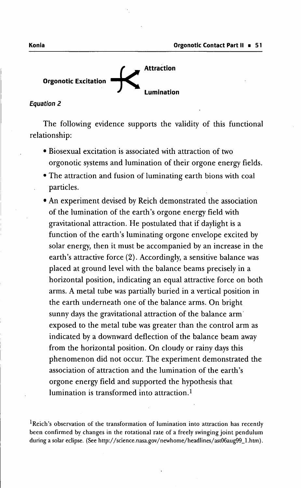

#### **Equation 2**

The following evidence supports the validity of this functional relationship:

- Biosexual excitation is associated with attraction of two orgonotic systems and lumination of their orgone energy fields.
- The attraction and fusion of luminating earth bions with coal particles.
- An experiment devised by Reich demonstrated the association of the lumination of the earth's orgone energy field with gravitational attraction. He postulated that if daylight is a function of the earth's luminating orgone envelope excited by solar energy, then it must be accompanied by an increase in the earth's attractive force (2). Accordingly, a sensitive balance was placed at ground level with the balance beams precisely in a horizontal position, indicating an equal attractive force on both arms. A metal tube was partially buried in a vertical position in the earth underneath one of the balance arms. On bright sunny days the gravitational attraction of the balance arm' exposed to the metal tube was greater than the control arm as indicated by a downward deflection of the balance beam away from the horizontal position. On cloudy or rainy days this phenomenon did not occur. The experiment demonstrated the association of attraction and the lumination of the earth's orgone energy field and supported the hypothesis that lumination is transformed into attraction.<sup>1</sup>

 ${}^{1}$ Reich's observation of the transformation of lumination into attraction has recently been confirmed by'changes in the rotational rate of a freely swinging joint pendulum during a solar eclipse. (See http://science.nasa.gov/newhome/headlines/ast06aug99\_l.htm).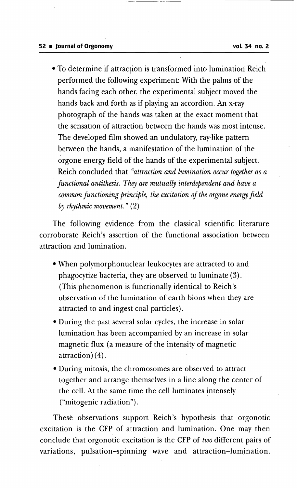• To determine if attraction is transformed into lumination Reich performed the following experiment: With the palms of the hands facing each other, the experimental subject moved the hands back and forth as if playing an accordion. An x-ray photograph of the hands was taken at the exact moment that the sensation of attraction between the hands was most intense. The developed film showed an undulatory, ray-like pattern between the hands, a manifestation of the lumination of the orgone energy field of the hands of the experimental subject. Reich concluded that *"attraction and lumination occur together as a functional antithesis. They are mutually interdependent and have a common functioning principle, the excitation of the orgone energy field by rhythmic movement."* (2)

The following evidence from the classical scientific literature corroborate Reich's assertion of the functional association between attraction and lumination.

- When polymorphonuclear leukocytes are attracted to and phagocytize bacteria, they are observed to luminate (3). (This phenomenon is functionally identical to Reich's observation of the lumination of earth bions when they are attracted to and ingest coal particles).
- During the past several solar cycles, the increase in solar lumination has been accompanied by an increase in solar magnetic flux (a measure of the intensity of magnetic attraction) (4).
- During mitosis, the chromosomes are observed to attract together and arrange themselves in a line along the center of the cell. At the same time the cell Iuminates intensely ("mitogenic radiation").

These observations support Reich's hypothesis that orgonotic excitation is' the CFP of attraction and lumination. One may then conclude that orgonotic excitation is the CFP of *two* different pairs of variations, pulsation-spinning wave and attraction-Iumination.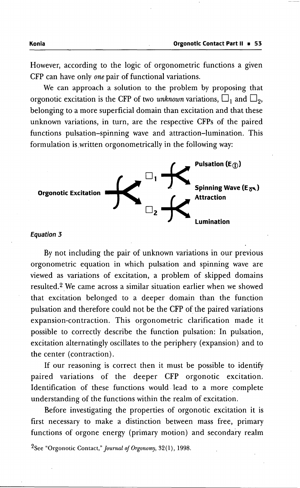However, according to the logic of orgonometric functions a given CFP can have only *one* pair of functional variations.

We can approach a solution to the problem by proposing that orgonotic excitation is the CFP of two *unknown* variations,  $\Box_1$  and  $\Box_2$ , belonging to a more superficial domain than excitation and that these unknown variations, in turn, are the respective CFPs of the paired functions pulsation-spinning wave and attraction-Iumination. This formulation is.written orgonometrically in the following way:



#### **Equation 3**

By not including the pair of unknown variations in our previous orgonometric equation in which pulsation and spinning wave are viewed as variations of excitation, a problem of skipped domains resulted.<sup>2</sup> We came across a similar situation earlier when we showed that excitation belonged to a deeper domain than the function pulsation and therefore could not be the CFP of the paired variations expansion-contraction. This orgonometric clarification made it possible to correctly describe the function pulsation: In pulsation, excitation alternatingly oscillates to the periphery (expansion) and to the center (contraction).

If our reasoning is correct then it must be possible to identify paired variations of the deeper CFP orgonotic excitation. Identification of these functions would lead to a more complete understanding of the functions within the realm of excitation.

Before investigating the properties of orgonotic excitation it is first necessary to make a distinction between mass free, primary functions of orgone energy (primary motion) and secondary realm

2See "Orgonotic Contact," *Journal of Or*go*no*my, 32(1),1998.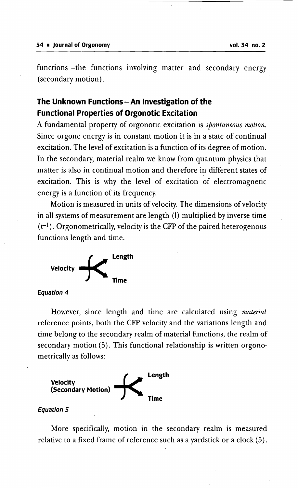functions-the functions involving matter and secondary energy (secondary motion).

### The Unknown Functions - An Investigation of the Functional Properties of Orgonotic Excitation

A fundamental property of orgonotic excitation is *spontaneous motion.* Since orgone energy is in constant motion it is in a state of continual excitation. The level of excitation is a function of its degree of motion. In the secondary, material realm we know from quantum physics that matter is also in continual motion and therefore in different states of excitation. This is why the level of excitation of electromagnetic energy is a function of its frequency.

Motion is measured in units of velocity. The dimensions of velocity in all systems of measurement are length (1) multiplied by inverse time  $(t<sup>-1</sup>)$ . Orgonometrically, velocity is the CFP of the paired heterogenous functions length and time.



Equation 4

However, since length and time are calculated using *material* reference points, both the CFP velocity and the variations length and time belong to the secondary realm of material functions, the realm of secondary motion (5). This functional relationship is written orgonometrically as follows:



### Equation 5

More specifically, motion in the secondary realm is measured relative to a fixed frame of reference such as a yardstick or a clock (5).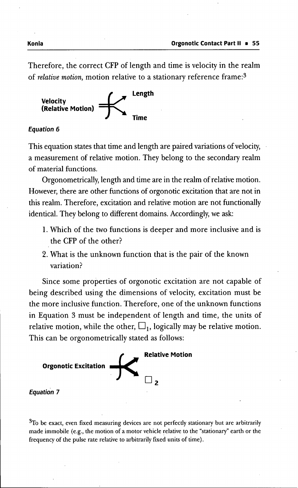Therefore, the correct CFP of length and time is velocity in the realm of *relative motion*, motion relative to a stationary reference frame:<sup>3</sup>



### **Equation 6**

This equation states that time and length are paired variations of velocity, a measurement of relative motion. They belong to the secondary realm of material functions.

Orgonometrically, length and time are in the realm of relative motion. However, there are other functions of orgonotic excitation that are not in this realm. Therefore, excitation and relative motion are not functionally identical. They belong to different domains. Accordingly, we ask:

- 1. Which of the two functions is deeper and more inclusive and is the CFP of the other?
- 2. What is the unknown function that is the pair of the known variation?

Since some properties of orgonotic excitation are not capable of being described using the dimensions of velocity, excitation must be the more inclusive function. Therefore, one of the unknown functions in Equation 3 must be independent of length and time, the units of relative motion, while the other,  $\Box_1$ , logically may be relative motion. This can be orgonometrically stated as follows:



### **Equation 7**

 $3T<sub>0</sub>$  be exact, even fixed measuring devices are not perfectly stationary but are arbitrarily made immobile (e.g., the motion of a motor vehicle relative to the "stationary" earth or the frequency of the pulse rate relative to arbitrarily fixed units of time).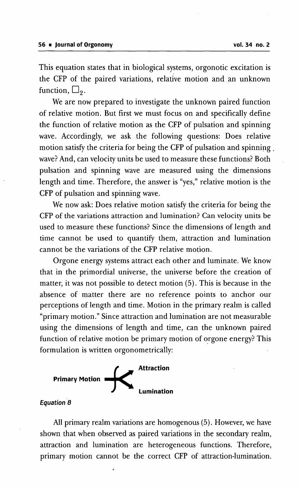This equation states that in biological systems, orgonotic excitation is the CFP of the paired variations, relative motion and an unknown function,  $\Box$ <sub>9</sub>.

We are now prepared to investigate the unknown paired function of relative motion. But first we must focus on and specifically define the function of relative motion as the CFP of pulsation and spinning wave. Accordingly, we ask the following questions: Does relative motion satisfy the criteria for being the CFP of pulsation and spinning . wave? And, can velocity units be used to measure these functions? Both pulsation and spinning wave are measured using the dimensions length and time. Therefore, the answer is "yes," relative motion is the CFP of pulsation and spinning wave.

We now ask: Does relative motion satisfy the criteria for being the CFP of the variations attraction and lumination? Can velocity units be used to measure these functions? Since the dimensions of length and time cannot be used to quantify them, attraction and lumination cannot be the variations of the CFP relative motion.

Orgone energy systems attract each other and luminate. We know that in the primordial universe, the universe before the creation of matter, it was not possible to detect motion (5). This is because in the absence of matter there are no reference points to anchor our perceptions of length and time. Motion in the primary realm is called "primary motion." Since attraction and lumination are not measurable using the dimensions of length and time, can the unknown paired function of relative motion be primary motion of orgone energy? This formulation is written orgonometrically:



### **Equation 8**

All primary realm variations are homogenous (5). However, we have shown that when observed as paired variations in the secondary realm, attraction and lumination are heterogeneous functions. Therefore, primary motion cannot be the correct CFP of attraction-Iumination.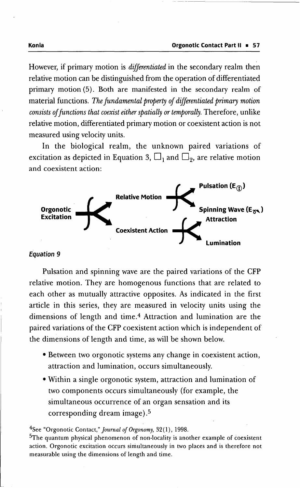However, if primary motion is *differentiated* in the secondary realm then relative motion can be distinguished from the operation of differentiated primary motion (5). Both are manifested in the secondary realm of material functions. The fundamental property of differentiated primary motion *consists* of functions that coexist either spatially or temporally. Therefore, unlike relative motion, differentiated primary motion or coexistent action is not measured using velocity units.

In the biological realm, the unknown paired variations of excitation as depicted in Equation 3,  $\Box_1$  and  $\Box_2$ , are relative motion and coexistent action:



### **Equation 9**

Pulsation and spinning wave are the paired variations of the CFP relative motion. They are homogenous functions that are related to each other as mutually attractive opposites. As indicated in the first article in this series, they are measured in velocity units using the dimensions of length and time.<sup>4</sup> Attraction and lumination are the paired variations of the CFP coexistent action which is independent of the dimensions of length and time, as will be shown below.

- Between two orgonotic systems any change in coexistent action, attraction and lumination, occurs simultaneously.
- Within a single orgonotic system, attraction and lumination of two components occurs simultaneously (for example, the simultaneous occurrence of an organ sensation and its corresponding dream image).5

4See "Orgonotic Contact," *Journalof Orgonomy,* 32(l), 1998.

<sup>5</sup>The quantum physical phenomenon of non-locality is another example of coexistent action. Orgonotic excitation occurs simultaneously in two places and is therefore not measurable using the dimensions of length and time.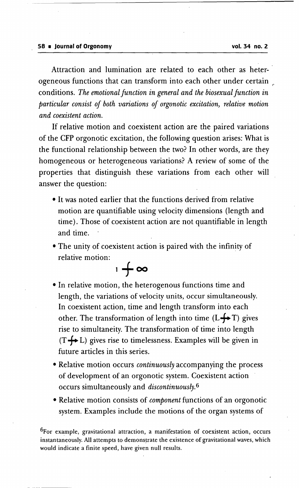Attraction and lumination are related to each other as heterogeneous functions that can transform into each other under certain *<sup>r</sup>* conditions. *The emotional function in general and the biosexual function in particular consist of both variations of orgonotic excitation, relative motion and coexistent action.*

If relative motion and coexistent action are the paired variations of the CFP orgonotic excitation, the following question arises: What is the functional relationship between the two? In other words, are they homogeneous or heterogeneous variations? A review of some of the properties that distinguish these variations from each other will answer the question:

- It was noted earlier that the functions derived from relative motion are quantifiable using velocity dimensions (length and time). Those of coexistent action are not quantifiable in length and time.
- The unity of coexistent action is paired with the infinity of relative motion:

 $1 + \infty$ 

- In relative motion, the heterogenous functions time and length, the variations of velocity units, occur simultaneously. In coexistent action, time and length transform into each other. The transformation of length into time  $(L \rightarrow T)$  gives rise to simultaneity. The transformation of time into length  $(T \leftrightarrow L)$  gives rise to timelessness. Examples will be given in future articles in this series.
- Relative motion occurs *continuously* accompanying the process of development of an orgonotic system. Coexistent action occurs simultaneously and *discontinuously.* <sup>6</sup>
- Relative motion consists of *component* functions of an orgonotic system. Examples include the motions of the organ systems of

6For example, gravitational attraction, a manifestation of coexistent action, occurs instantaneously. All attempts to demonstrate the existence of gravitational waves, which would indicate a finite speed, have given null results.